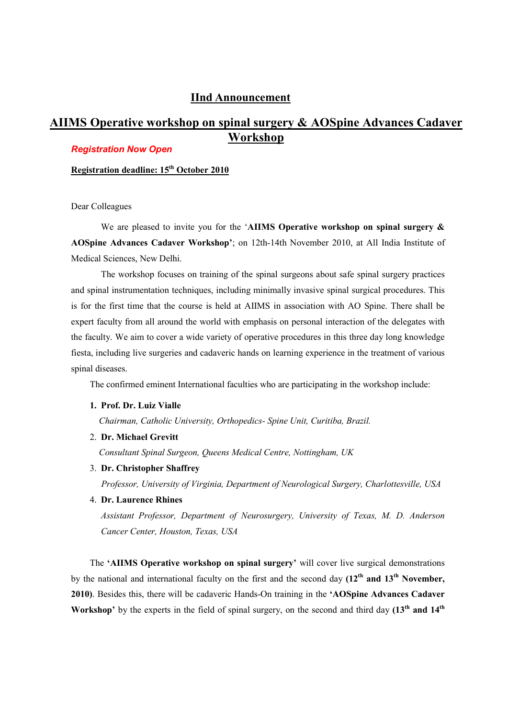### **IInd Announcement**

# **AIIMS Operative workshop on spinal surgery & AOSpine Advances Cadaver Workshop**

### *Registration Now Open*

**Registration deadline: 15th October 2010**

Dear Colleagues

We are pleased to invite you for the '**AIIMS Operative workshop on spinal surgery & AOSpine Advances Cadaver Workshop'**; on 12th-14th November 2010, at All India Institute of Medical Sciences, New Delhi.

 The workshop focuses on training of the spinal surgeons about safe spinal surgery practices and spinal instrumentation techniques, including minimally invasive spinal surgical procedures. This is for the first time that the course is held at AIIMS in association with AO Spine. There shall be expert faculty from all around the world with emphasis on personal interaction of the delegates with the faculty. We aim to cover a wide variety of operative procedures in this three day long knowledge fiesta, including live surgeries and cadaveric hands on learning experience in the treatment of various spinal diseases.

The confirmed eminent International faculties who are participating in the workshop include:

**1. Prof. Dr. Luiz Vialle** 

 *Chairman, Catholic University, Orthopedics- Spine Unit, Curitiba, Brazil.* 

2. **Dr. Michael Grevitt** 

 *Consultant Spinal Surgeon, Queens Medical Centre, Nottingham, UK* 

3. **Dr. Christopher Shaffrey** 

 *Professor, University of Virginia, Department of Neurological Surgery, Charlottesville, USA* 

4. **Dr. Laurence Rhines**

*Assistant Professor, Department of Neurosurgery, University of Texas, M. D. Anderson Cancer Center, Houston, Texas, USA* 

The **'AIIMS Operative workshop on spinal surgery'** will cover live surgical demonstrations by the national and international faculty on the first and the second day **(12th and 13th November, 2010)**. Besides this, there will be cadaveric Hands-On training in the **'AOSpine Advances Cadaver Workshop'** by the experts in the field of spinal surgery, on the second and third day **(13th and 14th**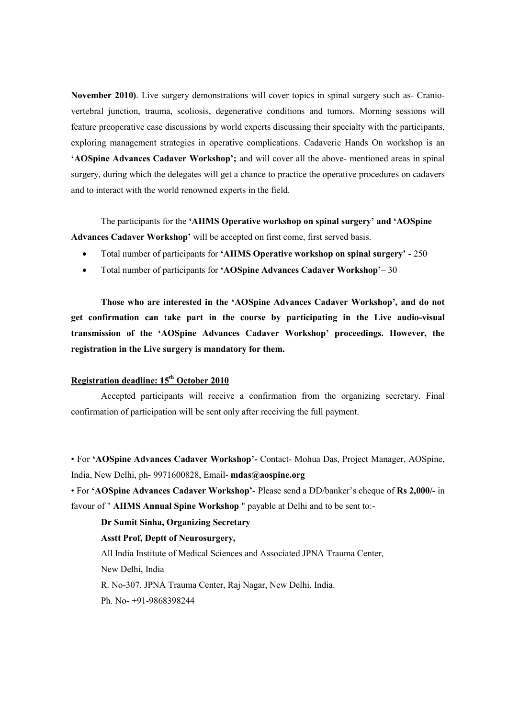**November 2010)**. Live surgery demonstrations will cover topics in spinal surgery such as- Craniovertebral junction, trauma, scoliosis, degenerative conditions and tumors. Morning sessions will feature preoperative case discussions by world experts discussing their specialty with the participants, exploring management strategies in operative complications. Cadaveric Hands On workshop is an **'AOSpine Advances Cadaver Workshop';** and will cover all the above- mentioned areas in spinal surgery, during which the delegates will get a chance to practice the operative procedures on cadavers and to interact with the world renowned experts in the field.

 The participants for the **'AIIMS Operative workshop on spinal surgery' and 'AOSpine Advances Cadaver Workshop'** will be accepted on first come, first served basis.

- Total number of participants for **'AIIMS Operative workshop on spinal surgery'** 250
- Total number of participants for **'AOSpine Advances Cadaver Workshop'** 30

 **Those who are interested in the 'AOSpine Advances Cadaver Workshop', and do not get confirmation can take part in the course by participating in the Live audio-visual transmission of the 'AOSpine Advances Cadaver Workshop' proceedings. However, the registration in the Live surgery is mandatory for them.** 

## **Registration deadline: 15th October 2010**

 Accepted participants will receive a confirmation from the organizing secretary. Final confirmation of participation will be sent only after receiving the full payment.

• For **'AOSpine Advances Cadaver Workshop'-** Contact- Mohua Das, Project Manager, AOSpine, India, New Delhi, ph- 9971600828, Email- **mdas@aospine.org**

• For **'AOSpine Advances Cadaver Workshop'-** Please send a DD/banker's cheque of **Rs 2,000/-** in favour of " **AIIMS Annual Spine Workshop** " payable at Delhi and to be sent to:-

### **Dr Sumit Sinha, Organizing Secretary**

#### **Asstt Prof, Deptt of Neurosurgery,**

All India Institute of Medical Sciences and Associated JPNA Trauma Center,

New Delhi, India

R. No-307, JPNA Trauma Center, Raj Nagar, New Delhi, India.

Ph. No- +91-9868398244